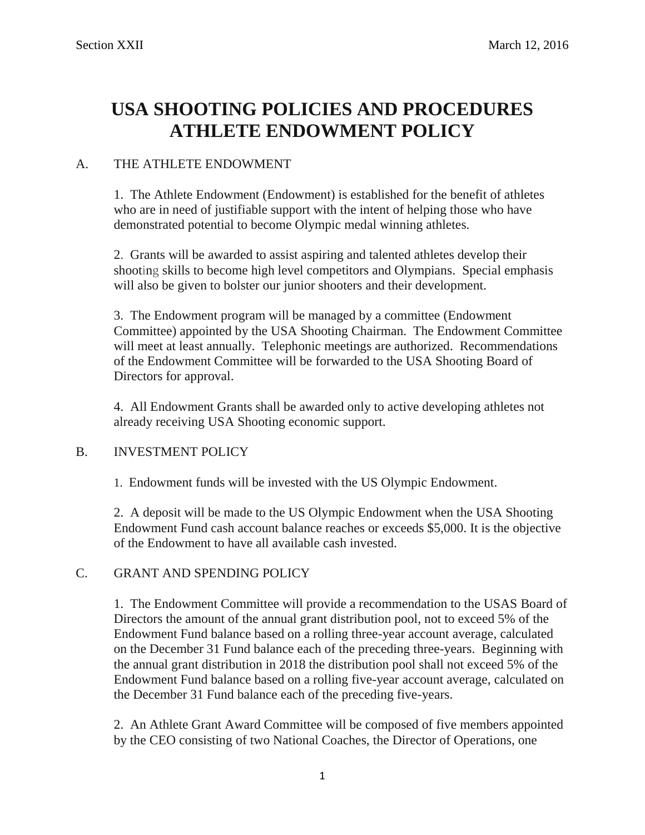## **USA SHOOTING POLICIES AND PROCEDURES ATHLETE ENDOWMENT POLICY**

## A. THE ATHLETE ENDOWMENT

1. The Athlete Endowment (Endowment) is established for the benefit of athletes who are in need of justifiable support with the intent of helping those who have demonstrated potential to become Olympic medal winning athletes.

2. Grants will be awarded to assist aspiring and talented athletes develop their shooting skills to become high level competitors and Olympians. Special emphasis will also be given to bolster our junior shooters and their development.

3. The Endowment program will be managed by a committee (Endowment Committee) appointed by the USA Shooting Chairman. The Endowment Committee will meet at least annually. Telephonic meetings are authorized. Recommendations of the Endowment Committee will be forwarded to the USA Shooting Board of Directors for approval.

4. All Endowment Grants shall be awarded only to active developing athletes not already receiving USA Shooting economic support.

## B. INVESTMENT POLICY

1. Endowment funds will be invested with the US Olympic Endowment.

2. A deposit will be made to the US Olympic Endowment when the USA Shooting Endowment Fund cash account balance reaches or exceeds \$5,000. It is the objective of the Endowment to have all available cash invested.

## C. GRANT AND SPENDING POLICY

1. The Endowment Committee will provide a recommendation to the USAS Board of Directors the amount of the annual grant distribution pool, not to exceed 5% of the Endowment Fund balance based on a rolling three-year account average, calculated on the December 31 Fund balance each of the preceding three-years. Beginning with the annual grant distribution in 2018 the distribution pool shall not exceed 5% of the Endowment Fund balance based on a rolling five-year account average, calculated on the December 31 Fund balance each of the preceding five-years.

2. An Athlete Grant Award Committee will be composed of five members appointed by the CEO consisting of two National Coaches, the Director of Operations, one